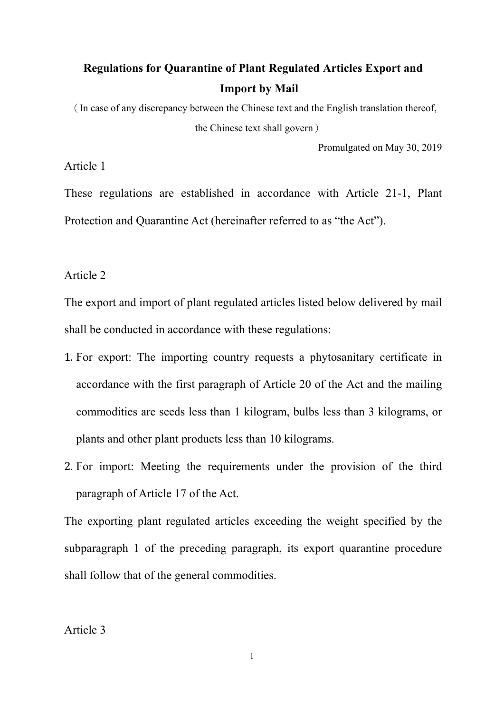# **Regulations for Quarantine of Plant Regulated Articles Export and Import by Mail**

(In case of any discrepancy between the Chinese text and the English translation thereof, the Chinese text shall govern)

Promulgated on May 30, 2019

Article 1

These regulations are established in accordance with Article 21-1, Plant Protection and Quarantine Act (hereinafter referred to as "the Act").

Article 2

The export and import of plant regulated articles listed below delivered by mail shall be conducted in accordance with these regulations:

- 1. For export: The importing country requests a phytosanitary certificate in accordance with the first paragraph of Article 20 of the Act and the mailing commodities are seeds less than 1 kilogram, bulbs less than 3 kilograms, or plants and other plant products less than 10 kilograms.
- 2. For import: Meeting the requirements under the provision of the third paragraph of Article 17 of the Act.

The exporting plant regulated articles exceeding the weight specified by the subparagraph 1 of the preceding paragraph, its export quarantine procedure shall follow that of the general commodities.

Article 3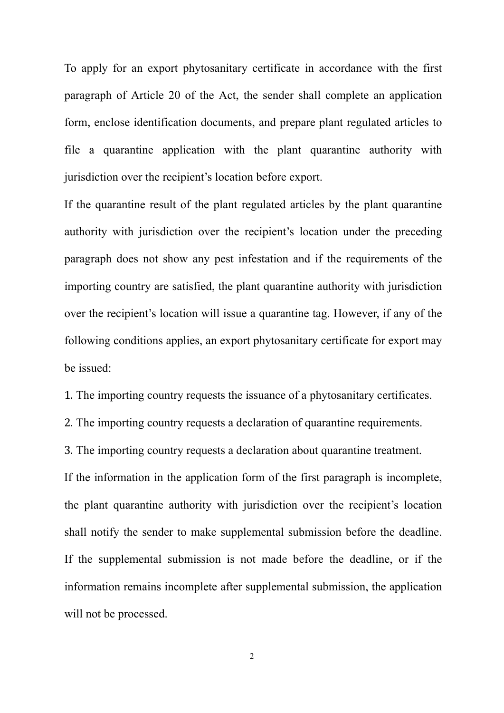To apply for an export phytosanitary certificate in accordance with the first paragraph of Article 20 of the Act, the sender shall complete an application form, enclose identification documents, and prepare plant regulated articles to file a quarantine application with the plant quarantine authority with jurisdiction over the recipient's location before export.

If the quarantine result of the plant regulated articles by the plant quarantine authority with jurisdiction over the recipient's location under the preceding paragraph does not show any pest infestation and if the requirements of the importing country are satisfied, the plant quarantine authority with jurisdiction over the recipient's location will issue a quarantine tag. However, if any of the following conditions applies, an export phytosanitary certificate for export may be issued:

1. The importing country requests the issuance of a phytosanitary certificates.

2. The importing country requests a declaration of quarantine requirements.

3. The importing country requests a declaration about quarantine treatment. If the information in the application form of the first paragraph is incomplete, the plant quarantine authority with jurisdiction over the recipient's location shall notify the sender to make supplemental submission before the deadline. If the supplemental submission is not made before the deadline, or if the information remains incomplete after supplemental submission, the application will not be processed.

2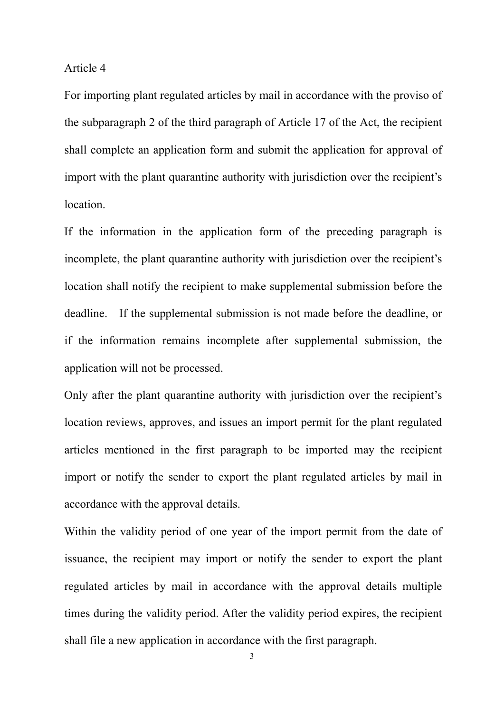#### Article 4

For importing plant regulated articles by mail in accordance with the proviso of the subparagraph 2 of the third paragraph of Article 17 of the Act, the recipient shall complete an application form and submit the application for approval of import with the plant quarantine authority with jurisdiction over the recipient's location.

If the information in the application form of the preceding paragraph is incomplete, the plant quarantine authority with jurisdiction over the recipient's location shall notify the recipient to make supplemental submission before the deadline. If the supplemental submission is not made before the deadline, or if the information remains incomplete after supplemental submission, the application will not be processed.

Only after the plant quarantine authority with jurisdiction over the recipient's location reviews, approves, and issues an import permit for the plant regulated articles mentioned in the first paragraph to be imported may the recipient import or notify the sender to export the plant regulated articles by mail in accordance with the approval details.

Within the validity period of one year of the import permit from the date of issuance, the recipient may import or notify the sender to export the plant regulated articles by mail in accordance with the approval details multiple times during the validity period. After the validity period expires, the recipient shall file a new application in accordance with the first paragraph.

3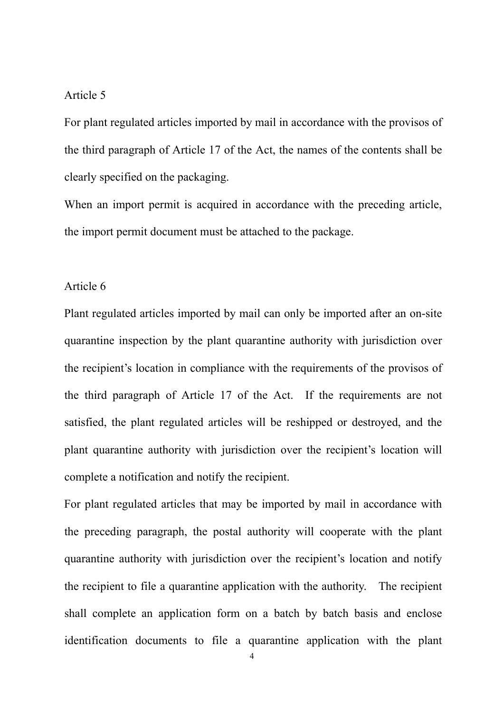## Article 5

For plant regulated articles imported by mail in accordance with the provisos of the third paragraph of Article 17 of the Act, the names of the contents shall be clearly specified on the packaging.

When an import permit is acquired in accordance with the preceding article, the import permit document must be attached to the package.

# Article 6

Plant regulated articles imported by mail can only be imported after an on-site quarantine inspection by the plant quarantine authority with jurisdiction over the recipient's location in compliance with the requirements of the provisos of the third paragraph of Article 17 of the Act. If the requirements are not satisfied, the plant regulated articles will be reshipped or destroyed, and the plant quarantine authority with jurisdiction over the recipient's location will complete a notification and notify the recipient.

For plant regulated articles that may be imported by mail in accordance with the preceding paragraph, the postal authority will cooperate with the plant quarantine authority with jurisdiction over the recipient's location and notify the recipient to file a quarantine application with the authority. The recipient shall complete an application form on a batch by batch basis and enclose identification documents to file a quarantine application with the plant